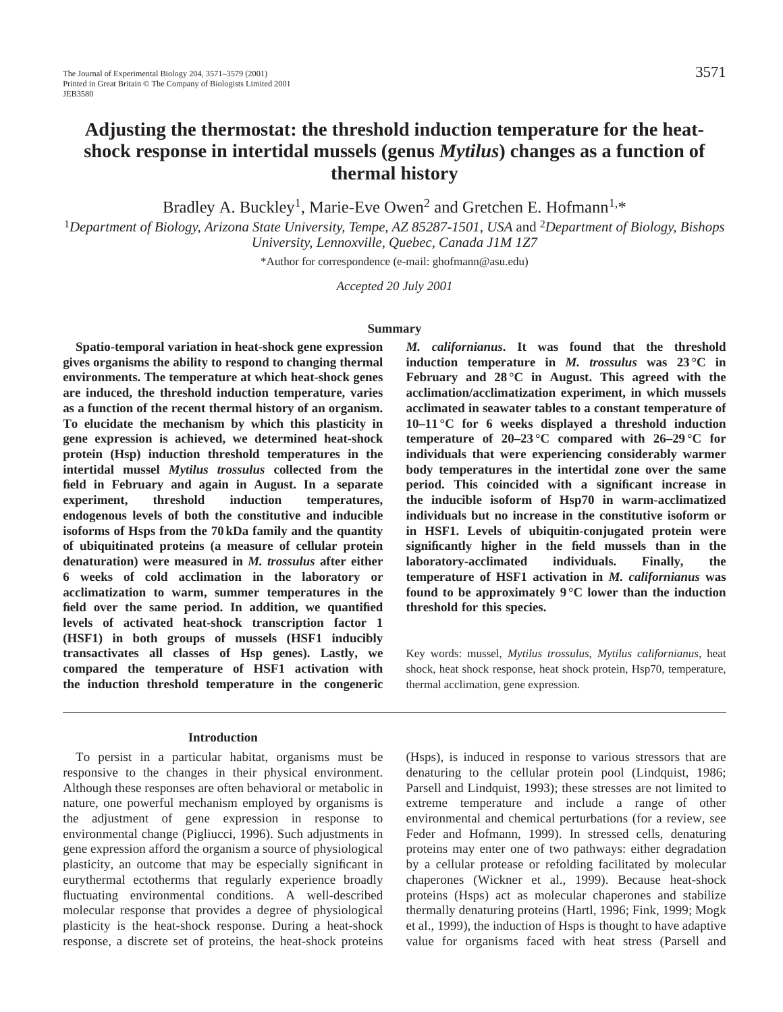# **Adjusting the thermostat: the threshold induction temperature for the heatshock response in intertidal mussels (genus** *Mytilus***) changes as a function of thermal history**

Bradley A. Buckley<sup>1</sup>, Marie-Eve Owen<sup>2</sup> and Gretchen E. Hofmann<sup>1,\*</sup>

<sup>1</sup>*Department of Biology, Arizona State University, Tempe, AZ 85287-1501, USA* and 2*Department of Biology, Bishops University, Lennoxville, Quebec, Canada J1M 1Z7*

\*Author for correspondence (e-mail: ghofmann@asu.edu)

*Accepted 20 July 2001*

#### **Summary**

**Spatio-temporal variation in heat-shock gene expression gives organisms the ability to respond to changing thermal environments. The temperature at which heat-shock genes are induced, the threshold induction temperature, varies as a function of the recent thermal history of an organism. To elucidate the mechanism by which this plasticity in gene expression is achieved, we determined heat-shock protein (Hsp) induction threshold temperatures in the intertidal mussel** *Mytilus trossulus* **collected from the field in February and again in August. In a separate experiment, threshold induction temperatures, endogenous levels of both the constitutive and inducible isoforms of Hsps from the 70 kDa family and the quantity of ubiquitinated proteins (a measure of cellular protein denaturation) were measured in** *M. trossulus* **after either 6 weeks of cold acclimation in the laboratory or acclimatization to warm, summer temperatures in the field over the same period. In addition, we quantified levels of activated heat-shock transcription factor 1 (HSF1) in both groups of mussels (HSF1 inducibly transactivates all classes of Hsp genes). Lastly, we compared the temperature of HSF1 activation with the induction threshold temperature in the congeneric**

# **Introduction**

To persist in a particular habitat, organisms must be responsive to the changes in their physical environment. Although these responses are often behavioral or metabolic in nature, one powerful mechanism employed by organisms is the adjustment of gene expression in response to environmental change (Pigliucci, 1996). Such adjustments in gene expression afford the organism a source of physiological plasticity, an outcome that may be especially significant in eurythermal ectotherms that regularly experience broadly fluctuating environmental conditions. A well-described molecular response that provides a degree of physiological plasticity is the heat-shock response. During a heat-shock response, a discrete set of proteins, the heat-shock proteins *M. californianus***. It was found that the threshold induction temperature in** *M. trossulus* **was 23 °C in February and 28 °C in August. This agreed with the acclimation/acclimatization experiment, in which mussels acclimated in seawater tables to a constant temperature of 10–11 °C for 6 weeks displayed a threshold induction temperature of 20–23 °C compared with 26–29 °C for individuals that were experiencing considerably warmer body temperatures in the intertidal zone over the same period. This coincided with a significant increase in the inducible isoform of Hsp70 in warm-acclimatized individuals but no increase in the constitutive isoform or in HSF1. Levels of ubiquitin-conjugated protein were significantly higher in the field mussels than in the laboratory-acclimated individuals. Finally, the temperature of HSF1 activation in** *M. californianus* **was found to be approximately 9 °C lower than the induction threshold for this species.**

Key words: mussel, *Mytilus trossulus*, *Mytilus californianus*, heat shock, heat shock response, heat shock protein, Hsp70, temperature, thermal acclimation, gene expression.

(Hsps), is induced in response to various stressors that are denaturing to the cellular protein pool (Lindquist, 1986; Parsell and Lindquist, 1993); these stresses are not limited to extreme temperature and include a range of other environmental and chemical perturbations (for a review, see Feder and Hofmann, 1999). In stressed cells, denaturing proteins may enter one of two pathways: either degradation by a cellular protease or refolding facilitated by molecular chaperones (Wickner et al., 1999). Because heat-shock proteins (Hsps) act as molecular chaperones and stabilize thermally denaturing proteins (Hartl, 1996; Fink, 1999; Mogk et al., 1999), the induction of Hsps is thought to have adaptive value for organisms faced with heat stress (Parsell and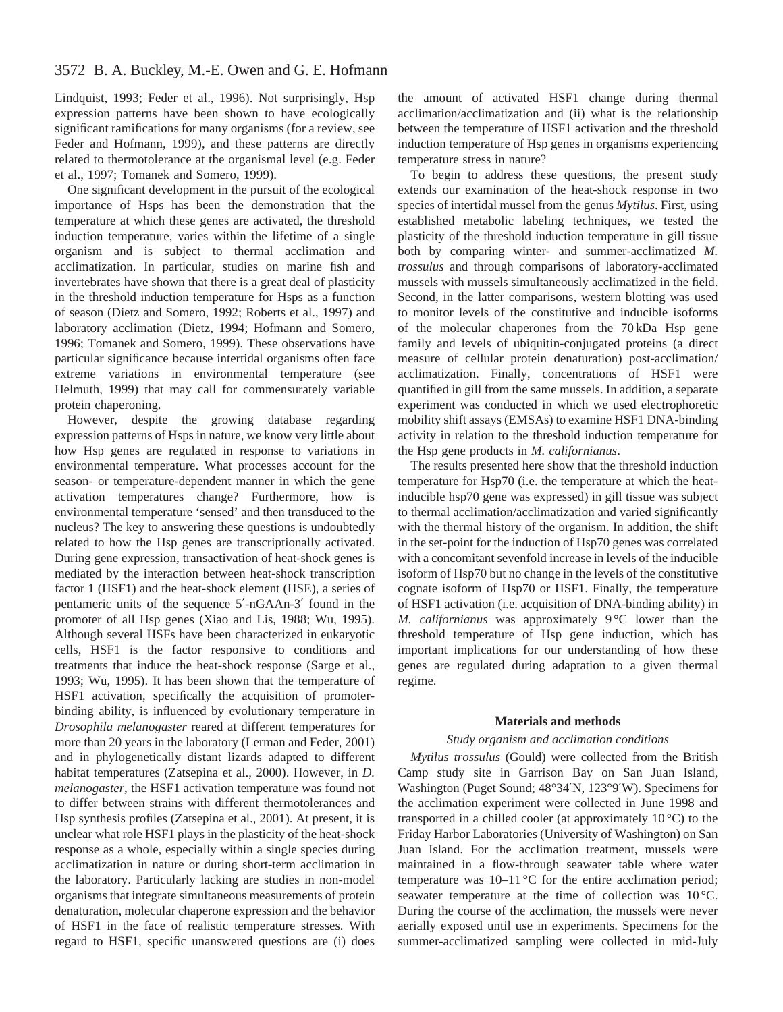# 3572 B. A. Buckley, M.-E. Owen and G. E. Hofmann

Lindquist, 1993; Feder et al., 1996). Not surprisingly, Hsp expression patterns have been shown to have ecologically significant ramifications for many organisms (for a review, see Feder and Hofmann, 1999), and these patterns are directly related to thermotolerance at the organismal level (e.g. Feder et al., 1997; Tomanek and Somero, 1999).

One significant development in the pursuit of the ecological importance of Hsps has been the demonstration that the temperature at which these genes are activated, the threshold induction temperature, varies within the lifetime of a single organism and is subject to thermal acclimation and acclimatization. In particular, studies on marine fish and invertebrates have shown that there is a great deal of plasticity in the threshold induction temperature for Hsps as a function of season (Dietz and Somero, 1992; Roberts et al., 1997) and laboratory acclimation (Dietz, 1994; Hofmann and Somero, 1996; Tomanek and Somero, 1999). These observations have particular significance because intertidal organisms often face extreme variations in environmental temperature (see Helmuth, 1999) that may call for commensurately variable protein chaperoning.

However, despite the growing database regarding expression patterns of Hsps in nature, we know very little about how Hsp genes are regulated in response to variations in environmental temperature. What processes account for the season- or temperature-dependent manner in which the gene activation temperatures change? Furthermore, how is environmental temperature 'sensed' and then transduced to the nucleus? The key to answering these questions is undoubtedly related to how the Hsp genes are transcriptionally activated. During gene expression, transactivation of heat-shock genes is mediated by the interaction between heat-shock transcription factor 1 (HSF1) and the heat-shock element (HSE), a series of pentameric units of the sequence 5′-nGAAn-3′ found in the promoter of all Hsp genes (Xiao and Lis, 1988; Wu, 1995). Although several HSFs have been characterized in eukaryotic cells, HSF1 is the factor responsive to conditions and treatments that induce the heat-shock response (Sarge et al., 1993; Wu, 1995). It has been shown that the temperature of HSF1 activation, specifically the acquisition of promoterbinding ability, is influenced by evolutionary temperature in *Drosophila melanogaster* reared at different temperatures for more than 20 years in the laboratory (Lerman and Feder, 2001) and in phylogenetically distant lizards adapted to different habitat temperatures (Zatsepina et al., 2000). However, in *D. melanogaster*, the HSF1 activation temperature was found not to differ between strains with different thermotolerances and Hsp synthesis profiles (Zatsepina et al., 2001). At present, it is unclear what role HSF1 plays in the plasticity of the heat-shock response as a whole, especially within a single species during acclimatization in nature or during short-term acclimation in the laboratory. Particularly lacking are studies in non-model organisms that integrate simultaneous measurements of protein denaturation, molecular chaperone expression and the behavior of HSF1 in the face of realistic temperature stresses. With regard to HSF1, specific unanswered questions are (i) does

the amount of activated HSF1 change during thermal acclimation/acclimatization and (ii) what is the relationship between the temperature of HSF1 activation and the threshold induction temperature of Hsp genes in organisms experiencing temperature stress in nature?

To begin to address these questions, the present study extends our examination of the heat-shock response in two species of intertidal mussel from the genus *Mytilus*. First, using established metabolic labeling techniques, we tested the plasticity of the threshold induction temperature in gill tissue both by comparing winter- and summer-acclimatized *M. trossulus* and through comparisons of laboratory-acclimated mussels with mussels simultaneously acclimatized in the field. Second, in the latter comparisons, western blotting was used to monitor levels of the constitutive and inducible isoforms of the molecular chaperones from the 70 kDa Hsp gene family and levels of ubiquitin-conjugated proteins (a direct measure of cellular protein denaturation) post-acclimation/ acclimatization. Finally, concentrations of HSF1 were quantified in gill from the same mussels. In addition, a separate experiment was conducted in which we used electrophoretic mobility shift assays (EMSAs) to examine HSF1 DNA-binding activity in relation to the threshold induction temperature for the Hsp gene products in *M. californianus*.

The results presented here show that the threshold induction temperature for Hsp70 (i.e. the temperature at which the heatinducible hsp70 gene was expressed) in gill tissue was subject to thermal acclimation/acclimatization and varied significantly with the thermal history of the organism. In addition, the shift in the set-point for the induction of Hsp70 genes was correlated with a concomitant sevenfold increase in levels of the inducible isoform of Hsp70 but no change in the levels of the constitutive cognate isoform of Hsp70 or HSF1. Finally, the temperature of HSF1 activation (i.e. acquisition of DNA-binding ability) in *M. californianus* was approximately 9 °C lower than the threshold temperature of Hsp gene induction, which has important implications for our understanding of how these genes are regulated during adaptation to a given thermal regime.

#### **Materials and methods**

#### *Study organism and acclimation conditions*

*Mytilus trossulus* (Gould) were collected from the British Camp study site in Garrison Bay on San Juan Island, Washington (Puget Sound; 48°34′N, 123°9′W). Specimens for the acclimation experiment were collected in June 1998 and transported in a chilled cooler (at approximately  $10^{\circ}$ C) to the Friday Harbor Laboratories (University of Washington) on San Juan Island. For the acclimation treatment, mussels were maintained in a flow-through seawater table where water temperature was 10–11 °C for the entire acclimation period; seawater temperature at the time of collection was 10 °C. During the course of the acclimation, the mussels were never aerially exposed until use in experiments. Specimens for the summer-acclimatized sampling were collected in mid-July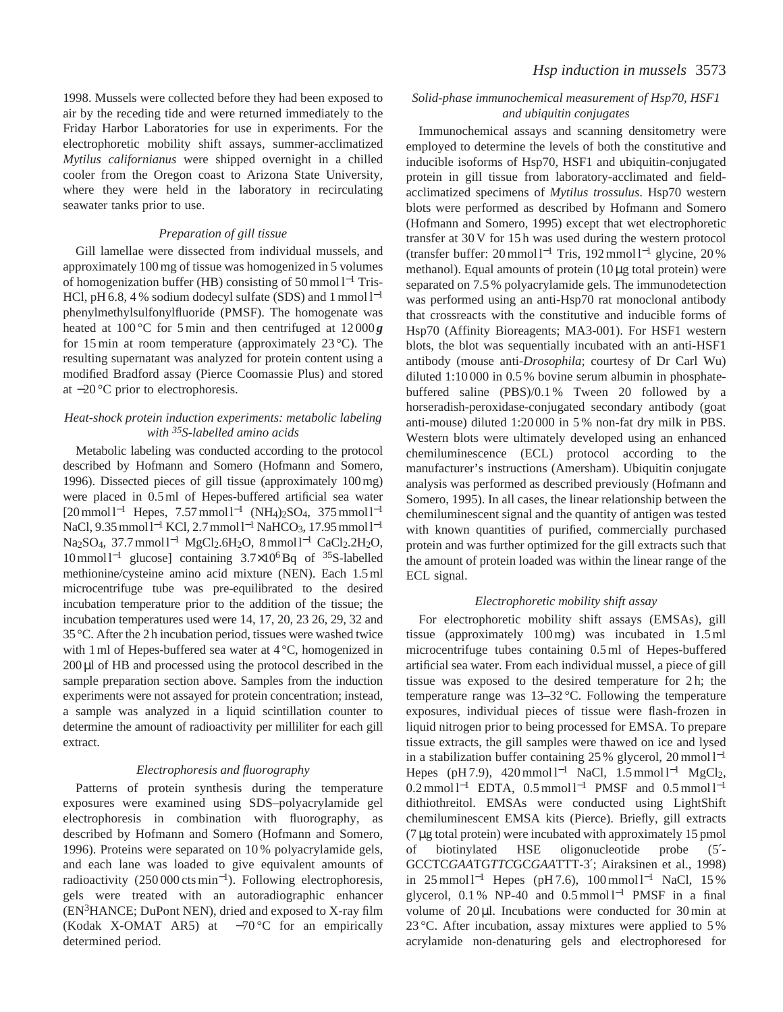1998. Mussels were collected before they had been exposed to air by the receding tide and were returned immediately to the Friday Harbor Laboratories for use in experiments. For the electrophoretic mobility shift assays, summer-acclimatized *Mytilus californianus* were shipped overnight in a chilled cooler from the Oregon coast to Arizona State University, where they were held in the laboratory in recirculating seawater tanks prior to use.

#### *Preparation of gill tissue*

Gill lamellae were dissected from individual mussels, and approximately 100 mg of tissue was homogenized in 5 volumes of homogenization buffer (HB) consisting of 50 mmol l−<sup>1</sup> Tris-HCl, pH 6.8, 4 % sodium dodecyl sulfate (SDS) and 1 mmol  $l^{-1}$ phenylmethylsulfonylfluoride (PMSF). The homogenate was heated at 100 °C for 5 min and then centrifuged at 12 000 **g** for 15 min at room temperature (approximately  $23^{\circ}$ C). The resulting supernatant was analyzed for protein content using a modified Bradford assay (Pierce Coomassie Plus) and stored at −20 °C prior to electrophoresis.

# *Heat-shock protein induction experiments: metabolic labeling with 35S-labelled amino acids*

Metabolic labeling was conducted according to the protocol described by Hofmann and Somero (Hofmann and Somero, 1996). Dissected pieces of gill tissue (approximately 100 mg) were placed in 0.5 ml of Hepes-buffered artificial sea water [20 mmol l<sup>-1</sup> Hepes, 7.57 mmol l<sup>-1</sup> (NH<sub>4</sub>)<sub>2</sub>SO<sub>4</sub>, 375 mmol l<sup>-1</sup> NaCl, 9.35 mmol l<sup>-1</sup> KCl, 2.7 mmol l<sup>-1</sup> NaHCO<sub>3</sub>, 17.95 mmol l<sup>-1</sup> Na<sub>2</sub>SO<sub>4</sub>, 37.7 mmol l<sup>-1</sup> MgCl<sub>2</sub>.6H<sub>2</sub>O, 8 mmol l<sup>-1</sup> CaCl<sub>2</sub>.2H<sub>2</sub>O, 10 mmol l−<sup>1</sup> glucose] containing 3.7×106Bq of 35S-labelled methionine/cysteine amino acid mixture (NEN). Each 1.5 ml microcentrifuge tube was pre-equilibrated to the desired incubation temperature prior to the addition of the tissue; the incubation temperatures used were 14, 17, 20, 23 26, 29, 32 and 35 °C. After the 2 h incubation period, tissues were washed twice with 1 ml of Hepes-buffered sea water at 4 °C, homogenized in 200µl of HB and processed using the protocol described in the sample preparation section above. Samples from the induction experiments were not assayed for protein concentration; instead, a sample was analyzed in a liquid scintillation counter to determine the amount of radioactivity per milliliter for each gill extract.

## *Electrophoresis and fluorography*

Patterns of protein synthesis during the temperature exposures were examined using SDS–polyacrylamide gel electrophoresis in combination with fluorography, as described by Hofmann and Somero (Hofmann and Somero, 1996). Proteins were separated on 10 % polyacrylamide gels, and each lane was loaded to give equivalent amounts of radioactivity (250 000 cts min<sup>−</sup>1). Following electrophoresis, gels were treated with an autoradiographic enhancer (EN3HANCE; DuPont NEN), dried and exposed to X-ray film (Kodak X-OMAT AR5) at −70 °C for an empirically determined period.

## *Solid-phase immunochemical measurement of Hsp70, HSF1 and ubiquitin conjugates*

Immunochemical assays and scanning densitometry were employed to determine the levels of both the constitutive and inducible isoforms of Hsp70, HSF1 and ubiquitin-conjugated protein in gill tissue from laboratory-acclimated and fieldacclimatized specimens of *Mytilus trossulus*. Hsp70 western blots were performed as described by Hofmann and Somero (Hofmann and Somero, 1995) except that wet electrophoretic transfer at 30 V for 15 h was used during the western protocol (transfer buffer: 20 mmol l−<sup>1</sup> Tris, 192 mmol l−<sup>1</sup> glycine, 20 % methanol). Equal amounts of protein (10 µg total protein) were separated on 7.5 % polyacrylamide gels. The immunodetection was performed using an anti-Hsp70 rat monoclonal antibody that crossreacts with the constitutive and inducible forms of Hsp70 (Affinity Bioreagents; MA3-001). For HSF1 western blots, the blot was sequentially incubated with an anti-HSF1 antibody (mouse anti-*Drosophila*; courtesy of Dr Carl Wu) diluted 1:10 000 in 0.5 % bovine serum albumin in phosphatebuffered saline (PBS)/0.1 % Tween 20 followed by a horseradish-peroxidase-conjugated secondary antibody (goat anti-mouse) diluted 1:20 000 in 5 % non-fat dry milk in PBS. Western blots were ultimately developed using an enhanced chemiluminescence (ECL) protocol according to the manufacturer's instructions (Amersham). Ubiquitin conjugate analysis was performed as described previously (Hofmann and Somero, 1995). In all cases, the linear relationship between the chemiluminescent signal and the quantity of antigen was tested with known quantities of purified, commercially purchased protein and was further optimized for the gill extracts such that the amount of protein loaded was within the linear range of the ECL signal.

## *Electrophoretic mobility shift assay*

For electrophoretic mobility shift assays (EMSAs), gill tissue (approximately 100 mg) was incubated in 1.5 ml microcentrifuge tubes containing 0.5 ml of Hepes-buffered artificial sea water. From each individual mussel, a piece of gill tissue was exposed to the desired temperature for 2 h; the temperature range was 13–32 °C. Following the temperature exposures, individual pieces of tissue were flash-frozen in liquid nitrogen prior to being processed for EMSA. To prepare tissue extracts, the gill samples were thawed on ice and lysed in a stabilization buffer containing 25 % glycerol, 20 mmol l−<sup>1</sup> Hepes (pH 7.9), 420 mmol l<sup>-1</sup> NaCl, 1.5 mmol l<sup>-1</sup> MgCl<sub>2</sub>,  $0.2$  mmol l<sup>-1</sup> EDTA,  $0.5$  mmol l<sup>-1</sup> PMSF and  $0.5$  mmol l<sup>-1</sup> dithiothreitol. EMSAs were conducted using LightShift chemiluminescent EMSA kits (Pierce). Briefly, gill extracts (7 µg total protein) were incubated with approximately 15 pmol of biotinylated HSE oligonucleotide probe (5′- GCCTC*GAA*TG*TTC*GC*GAA*TTT-3′; Airaksinen et al., 1998) in 25 mmol  $l^{-1}$  Hepes (pH 7.6), 100 mmol  $l^{-1}$  NaCl, 15 % glycerol, 0.1 % NP-40 and 0.5 mmol  $l^{-1}$  PMSF in a final volume of  $20 \mu$ . Incubations were conducted for  $30 \text{ min}$  at 23 °C. After incubation, assay mixtures were applied to 5 % acrylamide non-denaturing gels and electrophoresed for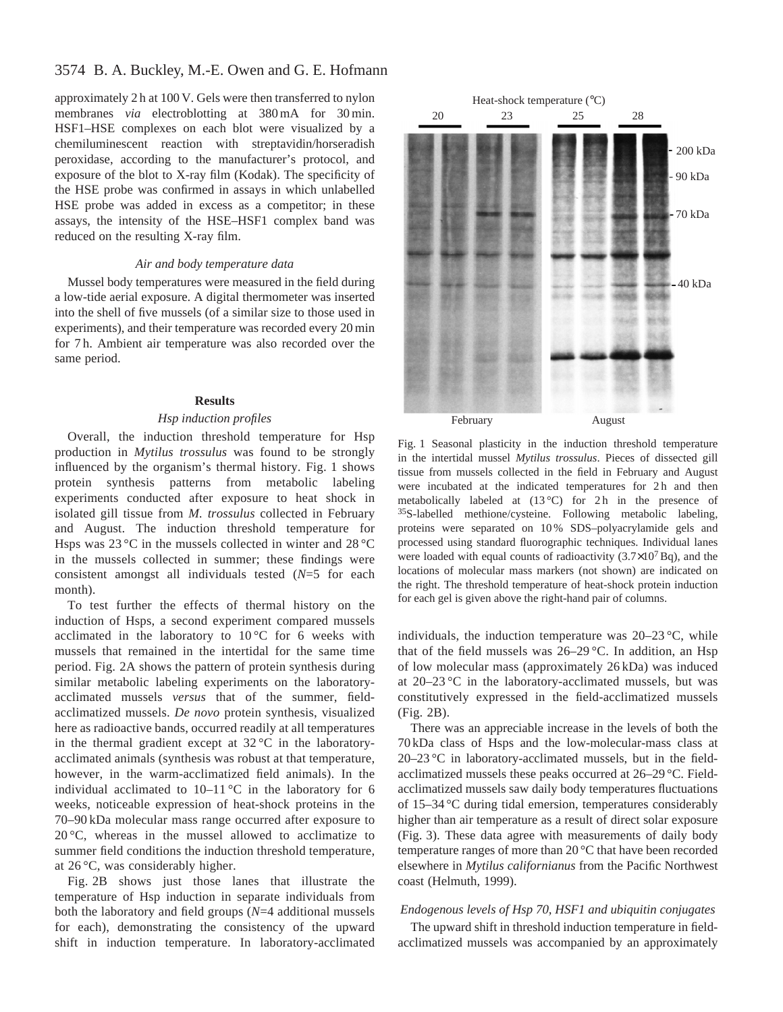# 3574 B. A. Buckley, M.-E. Owen and G. E. Hofmann

approximately 2 h at 100 V. Gels were then transferred to nylon membranes *via* electroblotting at 380 mA for 30 min. HSF1–HSE complexes on each blot were visualized by a chemiluminescent reaction with streptavidin/horseradish peroxidase, according to the manufacturer's protocol, and exposure of the blot to X-ray film (Kodak). The specificity of the HSE probe was confirmed in assays in which unlabelled HSE probe was added in excess as a competitor; in these assays, the intensity of the HSE–HSF1 complex band was reduced on the resulting X-ray film.

#### *Air and body temperature data*

Mussel body temperatures were measured in the field during a low-tide aerial exposure. A digital thermometer was inserted into the shell of five mussels (of a similar size to those used in experiments), and their temperature was recorded every 20 min for 7 h. Ambient air temperature was also recorded over the same period.

#### **Results**

# *Hsp induction profiles*

Overall, the induction threshold temperature for Hsp production in *Mytilus trossulus* was found to be strongly influenced by the organism's thermal history. Fig. 1 shows protein synthesis patterns from metabolic labeling experiments conducted after exposure to heat shock in isolated gill tissue from *M. trossulus* collected in February and August. The induction threshold temperature for Hsps was 23 °C in the mussels collected in winter and 28 °C in the mussels collected in summer; these findings were consistent amongst all individuals tested (*N*=5 for each month).

To test further the effects of thermal history on the induction of Hsps, a second experiment compared mussels acclimated in the laboratory to  $10^{\circ}$ C for 6 weeks with mussels that remained in the intertidal for the same time period. Fig. 2A shows the pattern of protein synthesis during similar metabolic labeling experiments on the laboratoryacclimated mussels *versus* that of the summer, fieldacclimatized mussels. *De novo* protein synthesis, visualized here as radioactive bands, occurred readily at all temperatures in the thermal gradient except at  $32^{\circ}\text{C}$  in the laboratoryacclimated animals (synthesis was robust at that temperature, however, in the warm-acclimatized field animals). In the individual acclimated to  $10-11\degree C$  in the laboratory for 6 weeks, noticeable expression of heat-shock proteins in the 70–90 kDa molecular mass range occurred after exposure to 20 °C, whereas in the mussel allowed to acclimatize to summer field conditions the induction threshold temperature, at 26 °C, was considerably higher.

Fig. 2B shows just those lanes that illustrate the temperature of Hsp induction in separate individuals from both the laboratory and field groups (*N*=4 additional mussels for each), demonstrating the consistency of the upward shift in induction temperature. In laboratory-acclimated



Fig. 1 Seasonal plasticity in the induction threshold temperature in the intertidal mussel *Mytilus trossulus*. Pieces of dissected gill tissue from mussels collected in the field in February and August were incubated at the indicated temperatures for 2h and then metabolically labeled at  $(13^{\circ}C)$  for 2h in the presence of 35S-labelled methione/cysteine. Following metabolic labeling, proteins were separated on 10 % SDS–polyacrylamide gels and processed using standard fluorographic techniques. Individual lanes were loaded with equal counts of radioactivity  $(3.7\times10^7Bq)$ , and the locations of molecular mass markers (not shown) are indicated on the right. The threshold temperature of heat-shock protein induction for each gel is given above the right-hand pair of columns.

individuals, the induction temperature was  $20-23$  °C, while that of the field mussels was 26–29 °C. In addition, an Hsp of low molecular mass (approximately 26 kDa) was induced at 20–23 °C in the laboratory-acclimated mussels, but was constitutively expressed in the field-acclimatized mussels (Fig. 2B).

There was an appreciable increase in the levels of both the 70 kDa class of Hsps and the low-molecular-mass class at 20–23 °C in laboratory-acclimated mussels, but in the fieldacclimatized mussels these peaks occurred at 26–29 °C. Fieldacclimatized mussels saw daily body temperatures fluctuations of 15–34 °C during tidal emersion, temperatures considerably higher than air temperature as a result of direct solar exposure (Fig. 3). These data agree with measurements of daily body temperature ranges of more than 20 °C that have been recorded elsewhere in *Mytilus californianus* from the Pacific Northwest coast (Helmuth, 1999).

# *Endogenous levels of Hsp 70, HSF1 and ubiquitin conjugates*

The upward shift in threshold induction temperature in fieldacclimatized mussels was accompanied by an approximately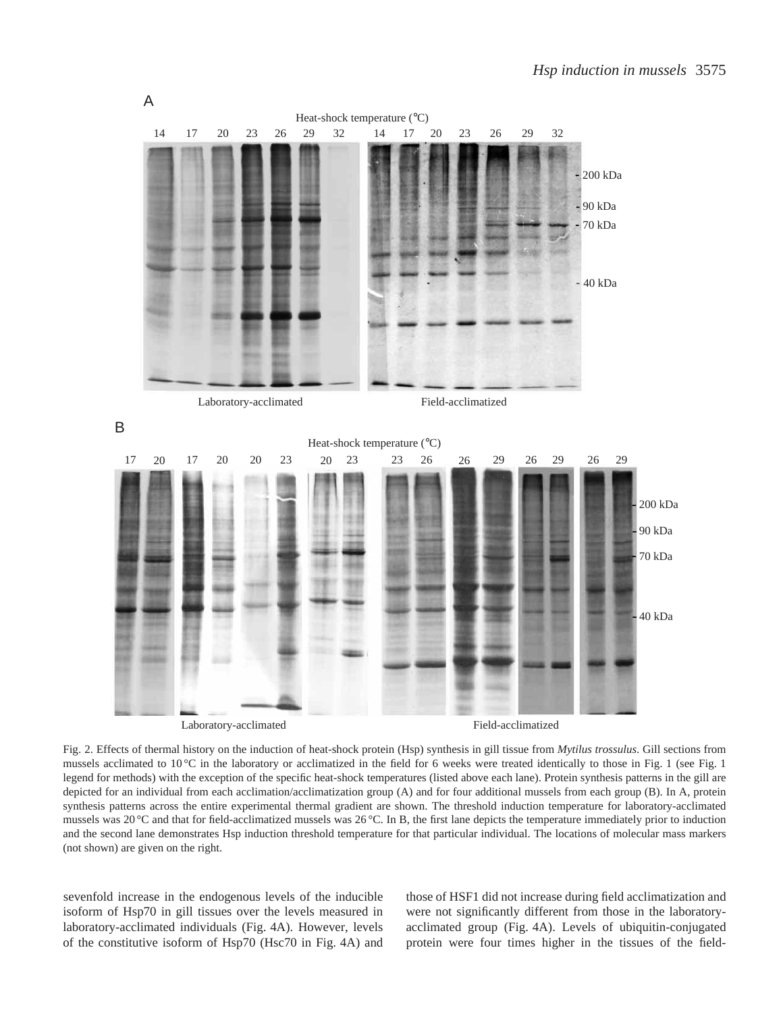

Fig. 2. Effects of thermal history on the induction of heat-shock protein (Hsp) synthesis in gill tissue from *Mytilus trossulus*. Gill sections from mussels acclimated to 10 °C in the laboratory or acclimatized in the field for 6 weeks were treated identically to those in Fig. 1 (see Fig. 1) legend for methods) with the exception of the specific heat-shock temperatures (listed above each lane). Protein synthesis patterns in the gill are depicted for an individual from each acclimation/acclimatization group (A) and for four additional mussels from each group (B). In A, protein synthesis patterns across the entire experimental thermal gradient are shown. The threshold induction temperature for laboratory-acclimated mussels was 20 °C and that for field-acclimatized mussels was 26 °C. In B, the first lane depicts the temperature immediately prior to induction and the second lane demonstrates Hsp induction threshold temperature for that particular individual. The locations of molecular mass markers (not shown) are given on the right.

sevenfold increase in the endogenous levels of the inducible isoform of Hsp70 in gill tissues over the levels measured in laboratory-acclimated individuals (Fig. 4A). However, levels of the constitutive isoform of Hsp70 (Hsc70 in Fig. 4A) and those of HSF1 did not increase during field acclimatization and were not significantly different from those in the laboratoryacclimated group (Fig. 4A). Levels of ubiquitin-conjugated protein were four times higher in the tissues of the field-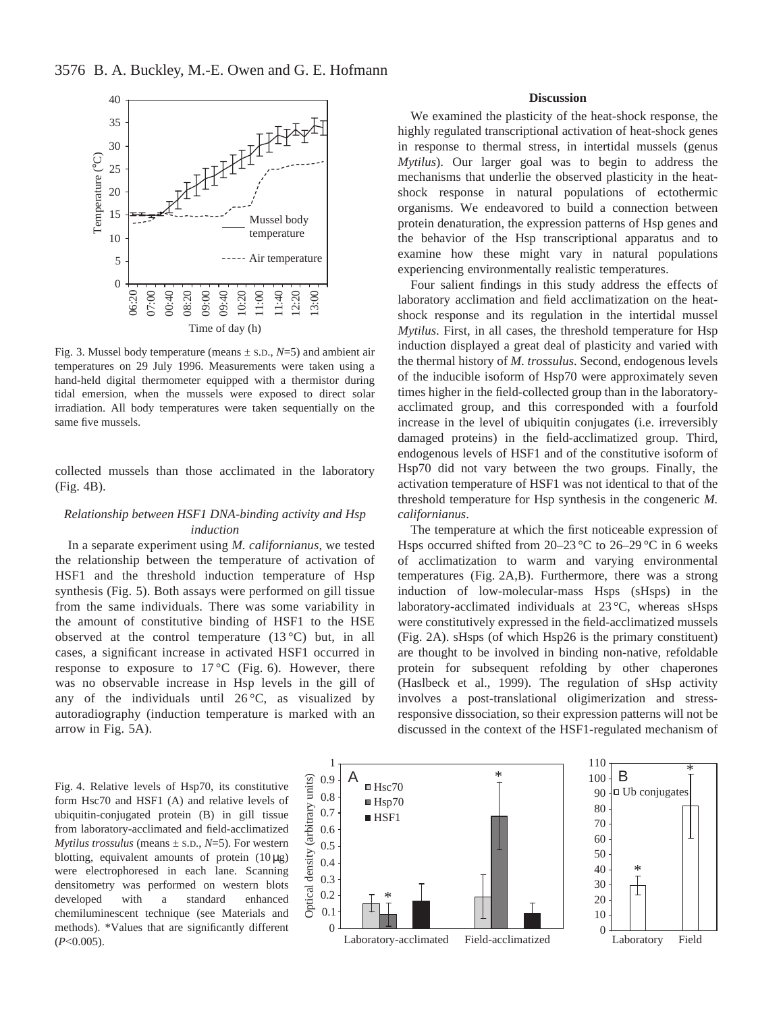

Fig. 3. Mussel body temperature (means  $\pm$  s.D.,  $N=5$ ) and ambient air temperatures on 29 July 1996. Measurements were taken using a hand-held digital thermometer equipped with a thermistor during tidal emersion, when the mussels were exposed to direct solar irradiation. All body temperatures were taken sequentially on the same five mussels.

collected mussels than those acclimated in the laboratory (Fig. 4B).

# *Relationship between HSF1 DNA-binding activity and Hsp induction*

In a separate experiment using *M. californianus*, we tested the relationship between the temperature of activation of HSF1 and the threshold induction temperature of Hsp synthesis (Fig. 5). Both assays were performed on gill tissue from the same individuals. There was some variability in the amount of constitutive binding of HSF1 to the HSE observed at the control temperature  $(13^{\circ}C)$  but, in all cases, a significant increase in activated HSF1 occurred in response to exposure to  $17^{\circ}$ C (Fig. 6). However, there was no observable increase in Hsp levels in the gill of any of the individuals until  $26^{\circ}$ C, as visualized by autoradiography (induction temperature is marked with an arrow in Fig. 5A).

## **Discussion**

We examined the plasticity of the heat-shock response, the highly regulated transcriptional activation of heat-shock genes in response to thermal stress, in intertidal mussels (genus *Mytilus*). Our larger goal was to begin to address the mechanisms that underlie the observed plasticity in the heatshock response in natural populations of ectothermic organisms. We endeavored to build a connection between protein denaturation, the expression patterns of Hsp genes and the behavior of the Hsp transcriptional apparatus and to examine how these might vary in natural populations experiencing environmentally realistic temperatures.

Four salient findings in this study address the effects of laboratory acclimation and field acclimatization on the heatshock response and its regulation in the intertidal mussel *Mytilus*. First, in all cases, the threshold temperature for Hsp induction displayed a great deal of plasticity and varied with the thermal history of *M. trossulus*. Second, endogenous levels of the inducible isoform of Hsp70 were approximately seven times higher in the field-collected group than in the laboratoryacclimated group, and this corresponded with a fourfold increase in the level of ubiquitin conjugates (i.e. irreversibly damaged proteins) in the field-acclimatized group. Third, endogenous levels of HSF1 and of the constitutive isoform of Hsp70 did not vary between the two groups. Finally, the activation temperature of HSF1 was not identical to that of the threshold temperature for Hsp synthesis in the congeneric *M. californianus*.

The temperature at which the first noticeable expression of Hsps occurred shifted from 20–23 °C to 26–29 °C in 6 weeks of acclimatization to warm and varying environmental temperatures (Fig. 2A,B). Furthermore, there was a strong induction of low-molecular-mass Hsps (sHsps) in the laboratory-acclimated individuals at 23 °C, whereas sHsps were constitutively expressed in the field-acclimatized mussels (Fig. 2A). sHsps (of which Hsp26 is the primary constituent) are thought to be involved in binding non-native, refoldable protein for subsequent refolding by other chaperones (Haslbeck et al., 1999). The regulation of sHsp activity involves a post-translational oligimerization and stressresponsive dissociation, so their expression patterns will not be discussed in the context of the HSF1-regulated mechanism of

form Hsc70 and HSF1 (A) and relative levels of ubiquitin-conjugated protein (B) in gill tissue from laboratory-acclimated and field-acclimatized *Mytilus trossulus* (means  $\pm$  s.D.,  $N=\frac{5}{5}$ ). For western blotting, equivalent amounts of protein  $(10 \mu g)$ were electrophoresed in each lane. Scanning densitometry was performed on western blots developed with a standard enhanced chemiluminescent technique (see Materials and methods). \*Values that are significantly different (*P*<0.005).

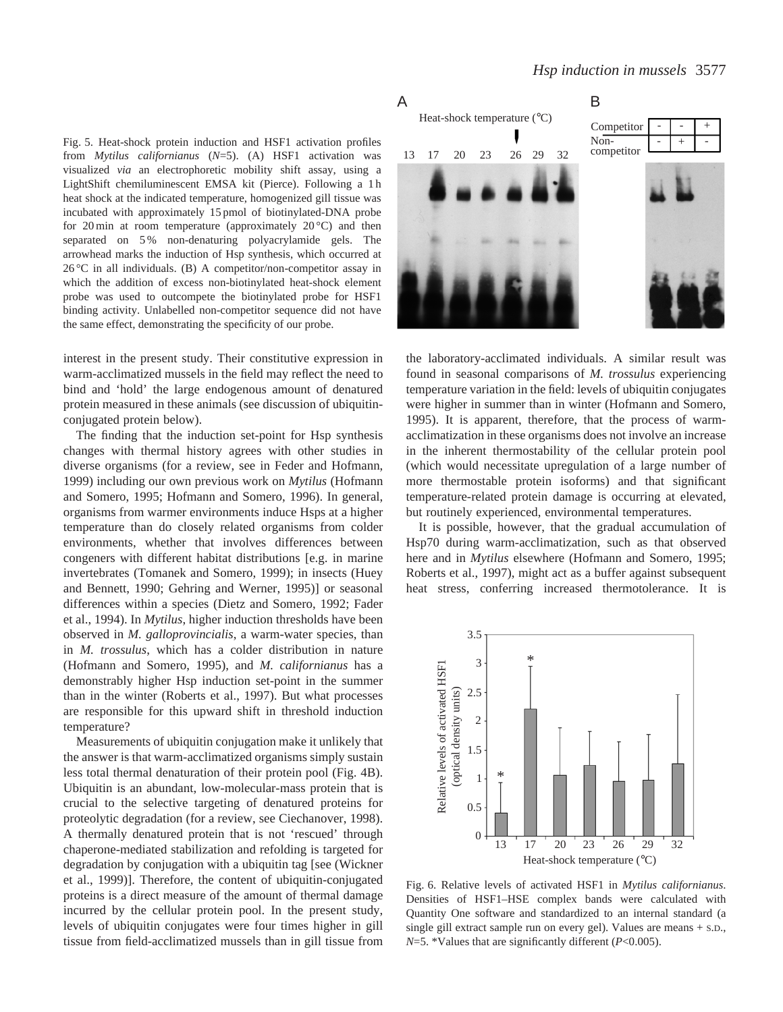Fig. 5. Heat-shock protein induction and HSF1 activation profiles from *Mytilus californianus* (*N*=5). (A) HSF1 activation was visualized *via* an electrophoretic mobility shift assay, using a LightShift chemiluminescent EMSA kit (Pierce). Following a 1 h heat shock at the indicated temperature, homogenized gill tissue was incubated with approximately 15 pmol of biotinylated-DNA probe for 20 min at room temperature (approximately  $20^{\circ}$ C) and then separated on 5 % non-denaturing polyacrylamide gels. The arrowhead marks the induction of Hsp synthesis, which occurred at  $26^{\circ}$ C in all individuals. (B) A competitor/non-competitor assay in which the addition of excess non-biotinylated heat-shock element probe was used to outcompete the biotinylated probe for HSF1 binding activity. Unlabelled non-competitor sequence did not have the same effect, demonstrating the specificity of our probe.

interest in the present study. Their constitutive expression in warm-acclimatized mussels in the field may reflect the need to bind and 'hold' the large endogenous amount of denatured protein measured in these animals (see discussion of ubiquitinconjugated protein below).

The finding that the induction set-point for Hsp synthesis changes with thermal history agrees with other studies in diverse organisms (for a review, see in Feder and Hofmann, 1999) including our own previous work on *Mytilus* (Hofmann and Somero, 1995; Hofmann and Somero, 1996). In general, organisms from warmer environments induce Hsps at a higher temperature than do closely related organisms from colder environments, whether that involves differences between congeners with different habitat distributions [e.g. in marine invertebrates (Tomanek and Somero, 1999); in insects (Huey and Bennett, 1990; Gehring and Werner, 1995)] or seasonal differences within a species (Dietz and Somero, 1992; Fader et al., 1994). In *Mytilus*, higher induction thresholds have been observed in *M. galloprovincialis*, a warm-water species, than in *M. trossulus*, which has a colder distribution in nature (Hofmann and Somero, 1995), and *M. californianus* has a demonstrably higher Hsp induction set-point in the summer than in the winter (Roberts et al., 1997). But what processes are responsible for this upward shift in threshold induction temperature?

Measurements of ubiquitin conjugation make it unlikely that the answer is that warm-acclimatized organisms simply sustain less total thermal denaturation of their protein pool (Fig. 4B). Ubiquitin is an abundant, low-molecular-mass protein that is crucial to the selective targeting of denatured proteins for proteolytic degradation (for a review, see Ciechanover, 1998). A thermally denatured protein that is not 'rescued' through chaperone-mediated stabilization and refolding is targeted for degradation by conjugation with a ubiquitin tag [see (Wickner et al., 1999)]. Therefore, the content of ubiquitin-conjugated proteins is a direct measure of the amount of thermal damage incurred by the cellular protein pool. In the present study, levels of ubiquitin conjugates were four times higher in gill tissue from field-acclimatized mussels than in gill tissue from

## *Hsp induction in mussels* 3577

A



the laboratory-acclimated individuals. A similar result was found in seasonal comparisons of *M. trossulus* experiencing temperature variation in the field: levels of ubiquitin conjugates were higher in summer than in winter (Hofmann and Somero, 1995). It is apparent, therefore, that the process of warmacclimatization in these organisms does not involve an increase in the inherent thermostability of the cellular protein pool (which would necessitate upregulation of a large number of more thermostable protein isoforms) and that significant temperature-related protein damage is occurring at elevated, but routinely experienced, environmental temperatures.

It is possible, however, that the gradual accumulation of Hsp70 during warm-acclimatization, such as that observed here and in *Mytilus* elsewhere (Hofmann and Somero, 1995; Roberts et al., 1997), might act as a buffer against subsequent heat stress, conferring increased thermotolerance. It is



Fig. 6. Relative levels of activated HSF1 in *Mytilus californianus*. Densities of HSF1–HSE complex bands were calculated with Quantity One software and standardized to an internal standard (a single gill extract sample run on every gel). Values are means + S.D., *N*=5. \*Values that are significantly different (*P*<0.005).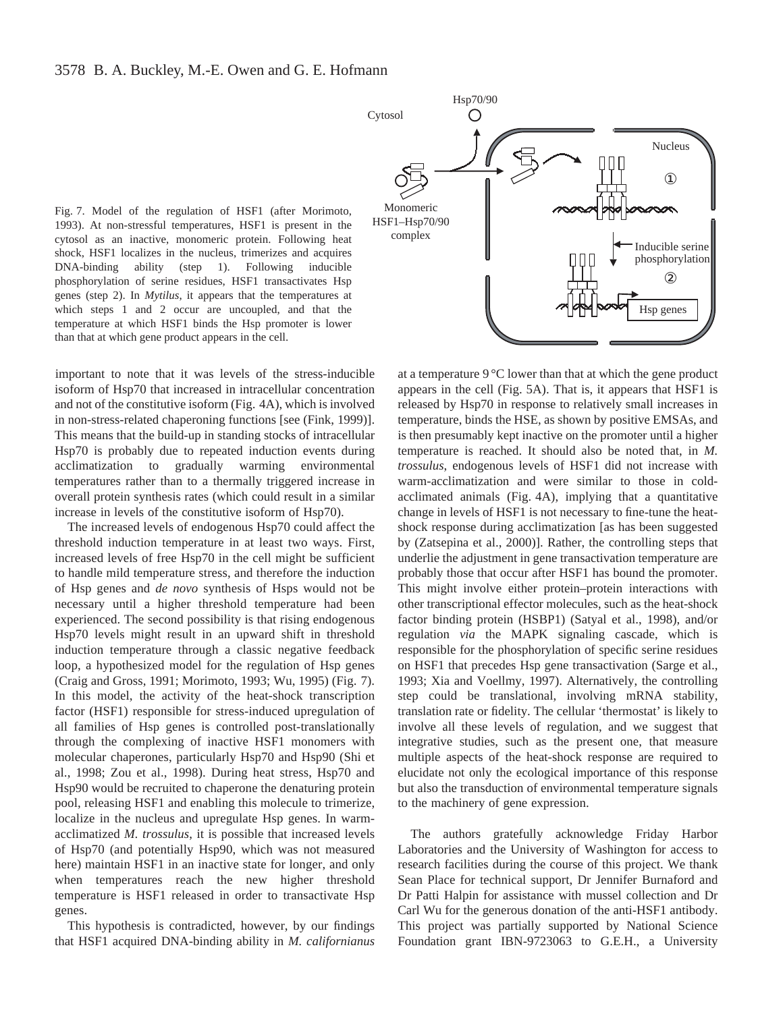Fig. 7. Model of the regulation of HSF1 (after Morimoto, 1993). At non-stressful temperatures, HSF1 is present in the cytosol as an inactive, monomeric protein. Following heat shock, HSF1 localizes in the nucleus, trimerizes and acquires DNA-binding ability (step 1). Following inducible phosphorylation of serine residues, HSF1 transactivates Hsp genes (step 2). In *Mytilus*, it appears that the temperatures at which steps 1 and 2 occur are uncoupled, and that the temperature at which HSF1 binds the Hsp promoter is lower than that at which gene product appears in the cell.



important to note that it was levels of the stress-inducible isoform of Hsp70 that increased in intracellular concentration and not of the constitutive isoform (Fig. 4A), which is involved in non-stress-related chaperoning functions [see (Fink, 1999)]. This means that the build-up in standing stocks of intracellular Hsp70 is probably due to repeated induction events during acclimatization to gradually warming environmental temperatures rather than to a thermally triggered increase in overall protein synthesis rates (which could result in a similar increase in levels of the constitutive isoform of Hsp70).

The increased levels of endogenous Hsp70 could affect the threshold induction temperature in at least two ways. First, increased levels of free Hsp70 in the cell might be sufficient to handle mild temperature stress, and therefore the induction of Hsp genes and *de novo* synthesis of Hsps would not be necessary until a higher threshold temperature had been experienced. The second possibility is that rising endogenous Hsp70 levels might result in an upward shift in threshold induction temperature through a classic negative feedback loop, a hypothesized model for the regulation of Hsp genes (Craig and Gross, 1991; Morimoto, 1993; Wu, 1995) (Fig. 7). In this model, the activity of the heat-shock transcription factor (HSF1) responsible for stress-induced upregulation of all families of Hsp genes is controlled post-translationally through the complexing of inactive HSF1 monomers with molecular chaperones, particularly Hsp70 and Hsp90 (Shi et al., 1998; Zou et al., 1998). During heat stress, Hsp70 and Hsp90 would be recruited to chaperone the denaturing protein pool, releasing HSF1 and enabling this molecule to trimerize, localize in the nucleus and upregulate Hsp genes. In warmacclimatized *M. trossulus*, it is possible that increased levels of Hsp70 (and potentially Hsp90, which was not measured here) maintain HSF1 in an inactive state for longer, and only when temperatures reach the new higher threshold temperature is HSF1 released in order to transactivate Hsp genes.

This hypothesis is contradicted, however, by our findings that HSF1 acquired DNA-binding ability in *M. californianus*

at a temperature 9 °C lower than that at which the gene product appears in the cell (Fig. 5A). That is, it appears that HSF1 is released by Hsp70 in response to relatively small increases in temperature, binds the HSE, as shown by positive EMSAs, and is then presumably kept inactive on the promoter until a higher temperature is reached. It should also be noted that, in *M. trossulus*, endogenous levels of HSF1 did not increase with warm-acclimatization and were similar to those in coldacclimated animals (Fig. 4A), implying that a quantitative change in levels of HSF1 is not necessary to fine-tune the heatshock response during acclimatization [as has been suggested by (Zatsepina et al., 2000)]. Rather, the controlling steps that underlie the adjustment in gene transactivation temperature are probably those that occur after HSF1 has bound the promoter. This might involve either protein–protein interactions with other transcriptional effector molecules, such as the heat-shock factor binding protein (HSBP1) (Satyal et al., 1998), and/or regulation *via* the MAPK signaling cascade, which is responsible for the phosphorylation of specific serine residues on HSF1 that precedes Hsp gene transactivation (Sarge et al., 1993; Xia and Voellmy, 1997). Alternatively, the controlling step could be translational, involving mRNA stability, translation rate or fidelity. The cellular 'thermostat' is likely to involve all these levels of regulation, and we suggest that integrative studies, such as the present one, that measure multiple aspects of the heat-shock response are required to elucidate not only the ecological importance of this response but also the transduction of environmental temperature signals to the machinery of gene expression.

The authors gratefully acknowledge Friday Harbor Laboratories and the University of Washington for access to research facilities during the course of this project. We thank Sean Place for technical support, Dr Jennifer Burnaford and Dr Patti Halpin for assistance with mussel collection and Dr Carl Wu for the generous donation of the anti-HSF1 antibody. This project was partially supported by National Science Foundation grant IBN-9723063 to G.E.H., a University